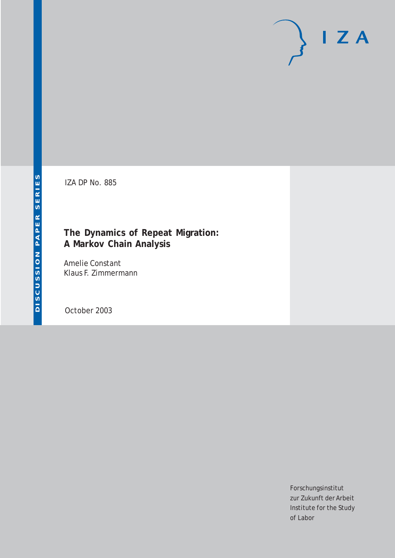# $I Z A$

IZA DP No. 885

## **The Dynamics of Repeat Migration: A Markov Chain Analysis**

Amelie Constant Klaus F. Zimmermann

October 2003

Forschungsinstitut zur Zukunft der Arbeit Institute for the Study of Labor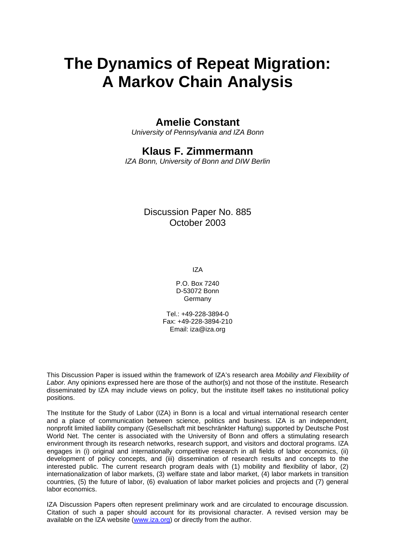# **The Dynamics of Repeat Migration: A Markov Chain Analysis**

## **Amelie Constant**

*University of Pennsylvania and IZA Bonn* 

## **Klaus F. Zimmermann**

*IZA Bonn, University of Bonn and DIW Berlin* 

Discussion Paper No. 885 October 2003

IZA

P.O. Box 7240 D-53072 Bonn Germany

Tel.: +49-228-3894-0 Fax: +49-228-3894-210 Email: [iza@iza.org](mailto:iza@iza.org)

This Discussion Paper is issued within the framework of IZA's research area *Mobility and Flexibility of Labor.* Any opinions expressed here are those of the author(s) and not those of the institute. Research disseminated by IZA may include views on policy, but the institute itself takes no institutional policy positions.

The Institute for the Study of Labor (IZA) in Bonn is a local and virtual international research center and a place of communication between science, politics and business. IZA is an independent, nonprofit limited liability company (Gesellschaft mit beschränkter Haftung) supported by Deutsche Post World Net. The center is associated with the University of Bonn and offers a stimulating research environment through its research networks, research support, and visitors and doctoral programs. IZA engages in (i) original and internationally competitive research in all fields of labor economics, (ii) development of policy concepts, and (iii) dissemination of research results and concepts to the interested public. The current research program deals with (1) mobility and flexibility of labor, (2) internationalization of labor markets, (3) welfare state and labor market, (4) labor markets in transition countries, (5) the future of labor, (6) evaluation of labor market policies and projects and (7) general labor economics.

IZA Discussion Papers often represent preliminary work and are circulated to encourage discussion. Citation of such a paper should account for its provisional character. A revised version may be available on the IZA website ([www.iza.org](http://www.iza.org/)) or directly from the author.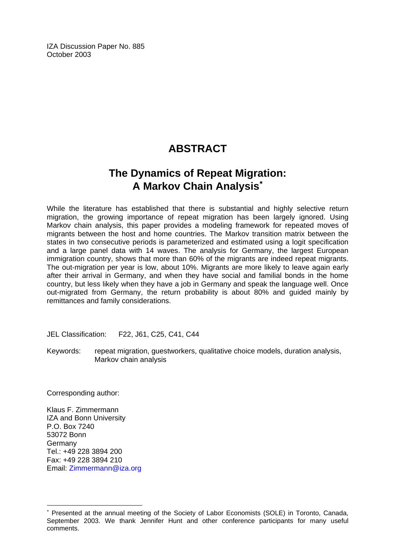IZA Discussion Paper No. 885 October 2003

## **ABSTRACT**

## **The Dynamics of Repeat Migration: A Markov Chain Analysis**[∗](#page-2-0)

While the literature has established that there is substantial and highly selective return migration, the growing importance of repeat migration has been largely ignored. Using Markov chain analysis, this paper provides a modeling framework for repeated moves of migrants between the host and home countries. The Markov transition matrix between the states in two consecutive periods is parameterized and estimated using a logit specification and a large panel data with 14 waves. The analysis for Germany, the largest European immigration country, shows that more than 60% of the migrants are indeed repeat migrants. The out-migration per year is low, about 10%. Migrants are more likely to leave again early after their arrival in Germany, and when they have social and familial bonds in the home country, but less likely when they have a job in Germany and speak the language well. Once out-migrated from Germany, the return probability is about 80% and guided mainly by remittances and family considerations.

JEL Classification: F22, J61, C25, C41, C44

Keywords: repeat migration, guestworkers, qualitative choice models, duration analysis, Markov chain analysis

Corresponding author:

Klaus F. Zimmermann IZA and Bonn University P.O. Box 7240 53072 Bonn Germany Tel.: +49 228 3894 200 Fax: +49 228 3894 210 Email: [Zimmermann@iza.org](mailto:Zimmermann@iza.org)

 $\overline{a}$ 

<span id="page-2-0"></span><sup>∗</sup> Presented at the annual meeting of the Society of Labor Economists (SOLE) in Toronto, Canada, September 2003. We thank Jennifer Hunt and other conference participants for many useful comments.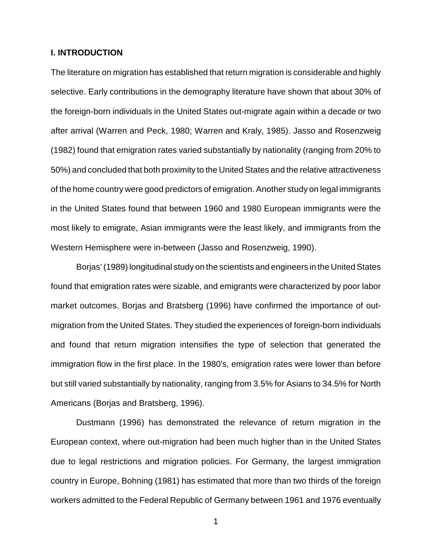#### **I. INTRODUCTION**

The literature on migration has established that return migration is considerable and highly selective. Early contributions in the demography literature have shown that about 30% of the foreign-born individuals in the United States out-migrate again within a decade or two after arrival (Warren and Peck, 1980; Warren and Kraly, 1985). Jasso and Rosenzweig (1982) found that emigration rates varied substantially by nationality (ranging from 20% to 50%) and concluded that both proximity to the United States and the relative attractiveness of the home country were good predictors of emigration. Another study on legal immigrants in the United States found that between 1960 and 1980 European immigrants were the most likely to emigrate, Asian immigrants were the least likely, and immigrants from the Western Hemisphere were in-between (Jasso and Rosenzweig, 1990).

Borjas' (1989) longitudinal study on the scientists and engineers in the United States found that emigration rates were sizable, and emigrants were characterized by poor labor market outcomes. Borjas and Bratsberg (1996) have confirmed the importance of outmigration from the United States. They studied the experiences of foreign-born individuals and found that return migration intensifies the type of selection that generated the immigration flow in the first place. In the 1980's, emigration rates were lower than before but still varied substantially by nationality, ranging from 3.5% for Asians to 34.5% for North Americans (Borjas and Bratsberg, 1996).

Dustmann (1996) has demonstrated the relevance of return migration in the European context, where out-migration had been much higher than in the United States due to legal restrictions and migration policies. For Germany, the largest immigration country in Europe, Bohning (1981) has estimated that more than two thirds of the foreign workers admitted to the Federal Republic of Germany between 1961 and 1976 eventually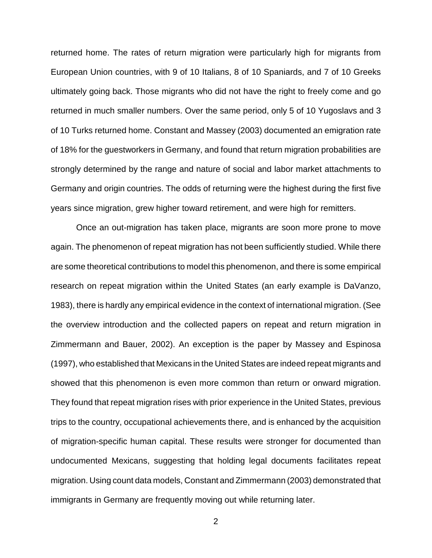returned home. The rates of return migration were particularly high for migrants from European Union countries, with 9 of 10 Italians, 8 of 10 Spaniards, and 7 of 10 Greeks ultimately going back. Those migrants who did not have the right to freely come and go returned in much smaller numbers. Over the same period, only 5 of 10 Yugoslavs and 3 of 10 Turks returned home. Constant and Massey (2003) documented an emigration rate of 18% for the guestworkers in Germany, and found that return migration probabilities are strongly determined by the range and nature of social and labor market attachments to Germany and origin countries. The odds of returning were the highest during the first five years since migration, grew higher toward retirement, and were high for remitters.

Once an out-migration has taken place, migrants are soon more prone to move again. The phenomenon of repeat migration has not been sufficiently studied. While there are some theoretical contributions to model this phenomenon, and there is some empirical research on repeat migration within the United States (an early example is DaVanzo, 1983), there is hardly any empirical evidence in the context of international migration. (See the overview introduction and the collected papers on repeat and return migration in Zimmermann and Bauer, 2002). An exception is the paper by Massey and Espinosa (1997), who established that Mexicans in the United States are indeed repeat migrants and showed that this phenomenon is even more common than return or onward migration. They found that repeat migration rises with prior experience in the United States, previous trips to the country, occupational achievements there, and is enhanced by the acquisition of migration-specific human capital. These results were stronger for documented than undocumented Mexicans, suggesting that holding legal documents facilitates repeat migration. Using count data models, Constant and Zimmermann (2003) demonstrated that immigrants in Germany are frequently moving out while returning later.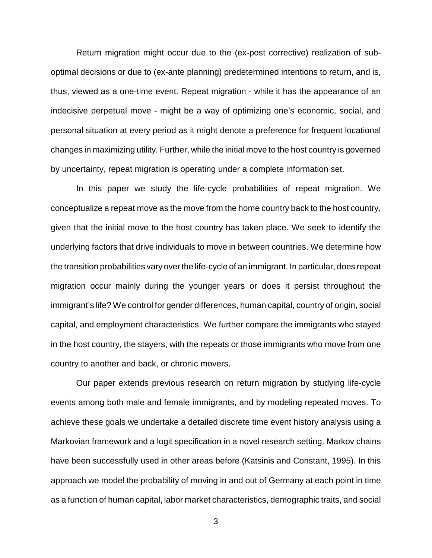Return migration might occur due to the (ex-post corrective) realization of suboptimal decisions or due to (ex-ante planning) predetermined intentions to return, and is, thus, viewed as a one-time event. Repeat migration - while it has the appearance of an indecisive perpetual move - might be a way of optimizing one's economic, social, and personal situation at every period as it might denote a preference for frequent locational changes in maximizing utility. Further, while the initial move to the host country is governed by uncertainty, repeat migration is operating under a complete information set.

In this paper we study the life-cycle probabilities of repeat migration. We conceptualize a repeat move as the move from the home country back to the host country, given that the initial move to the host country has taken place. We seek to identify the underlying factors that drive individuals to move in between countries. We determine how the transition probabilities vary overthe life-cycle of an immigrant. In particular, does repeat migration occur mainly during the younger years or does it persist throughout the immigrant's life? We control for gender differences, human capital, country of origin, social capital, and employment characteristics. We further compare the immigrants who stayed in the host country, the stayers, with the repeats or those immigrants who move from one country to another and back, or chronic movers.

Our paper extends previous research on return migration by studying life-cycle events among both male and female immigrants, and by modeling repeated moves. To achieve these goals we undertake a detailed discrete time event history analysis using a Markovian framework and a logit specification in a novel research setting. Markov chains have been successfully used in other areas before (Katsinis and Constant, 1995). In this approach we model the probability of moving in and out of Germany at each point in time as a function of human capital, labor market characteristics, demographic traits, and social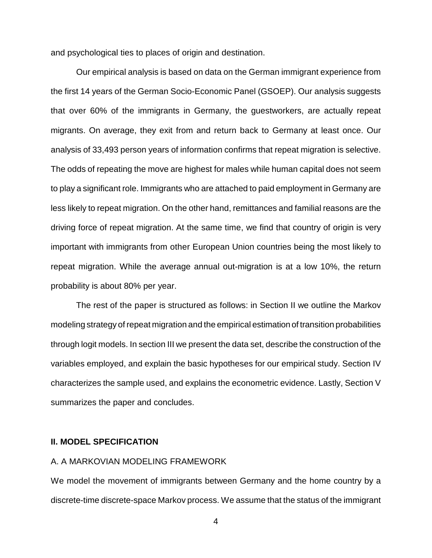and psychological ties to places of origin and destination.

Our empirical analysis is based on data on the German immigrant experience from the first 14 years of the German Socio-Economic Panel (GSOEP). Our analysis suggests that over 60% of the immigrants in Germany, the guestworkers, are actually repeat migrants. On average, they exit from and return back to Germany at least once. Our analysis of 33,493 person years of information confirms that repeat migration is selective. The odds of repeating the move are highest for males while human capital does not seem to play a significant role. Immigrants who are attached to paid employment in Germany are less likely to repeat migration. On the other hand, remittances and familial reasons are the driving force of repeat migration. At the same time, we find that country of origin is very important with immigrants from other European Union countries being the most likely to repeat migration. While the average annual out-migration is at a low 10%, the return probability is about 80% per year.

The rest of the paper is structured as follows: in Section II we outline the Markov modeling strategy of repeat migration and the empirical estimation of transition probabilities through logit models. In section III we present the data set, describe the construction of the variables employed, and explain the basic hypotheses for our empirical study. Section IV characterizes the sample used, and explains the econometric evidence. Lastly, Section V summarizes the paper and concludes.

#### **II. MODEL SPECIFICATION**

#### A. A MARKOVIAN MODELING FRAMEWORK

We model the movement of immigrants between Germany and the home country by a discrete-time discrete-space Markov process. We assume that the status of the immigrant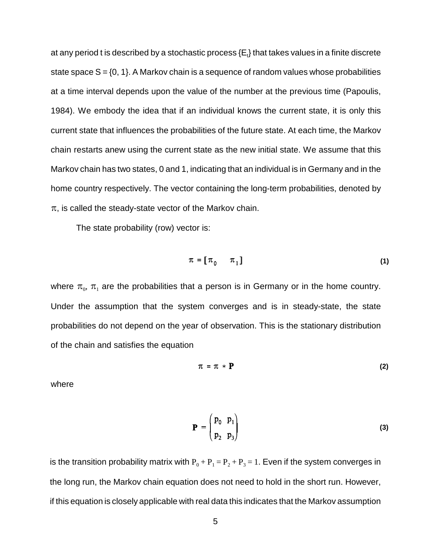at any period t is described by a stochastic process {E $_{\rm t}$ } that takes values in a finite discrete state space  $S = \{0, 1\}$ . A Markov chain is a sequence of random values whose probabilities at a time interval depends upon the value of the number at the previous time (Papoulis, 1984). We embody the idea that if an individual knows the current state, it is only this current state that influences the probabilities of the future state. At each time, the Markov chain restarts anew using the current state as the new initial state. We assume that this Markov chain has two states, 0 and 1, indicating that an individual is in Germany and in the home country respectively. The vector containing the long-term probabilities, denoted by  $\pi$ , is called the steady-state vector of the Markov chain.

The state probability (row) vector is:

$$
\pi = [\pi_0 \quad \pi_1] \tag{1}
$$

where  $\pi_0$ ,  $\pi_1$  are the probabilities that a person is in Germany or in the home country. Under the assumption that the system converges and is in steady-state, the state probabilities do not depend on the year of observation. This is the stationary distribution of the chain and satisfies the equation

$$
\pi = \pi * \mathbf{P} \tag{2}
$$

where

$$
\mathbf{P} = \begin{pmatrix} \mathbf{p}_0 & \mathbf{p}_1 \\ \mathbf{p}_2 & \mathbf{p}_3 \end{pmatrix} \tag{3}
$$

is the transition probability matrix with  $P_0 + P_1 = P_2 + P_3 = 1$ . Even if the system converges in the long run, the Markov chain equation does not need to hold in the short run. However, if this equation is closely applicable with real data this indicates that the Markov assumption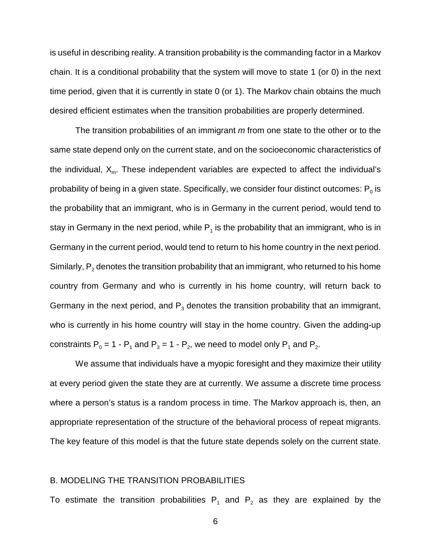is useful in describing reality. A transition probability is the commanding factor in a Markov chain. It is a conditional probability that the system will move to state 1 (or 0) in the next time period, given that it is currently in state 0 (or 1). The Markov chain obtains the much desired efficient estimates when the transition probabilities are properly determined.

The transition probabilities of an immigrant m from one state to the other or to the same state depend only on the current state, and on the socioeconomic characteristics of the individual,  $X_{m}$ . These independent variables are expected to affect the individual's probability of being in a given state. Specifically, we consider four distinct outcomes:  $P_0$  is the probability that an immigrant, who is in Germany in the current period, would tend to stay in Germany in the next period, while  $P_1$  is the probability that an immigrant, who is in Germany in the current period, would tend to return to his home country in the next period. Similarly,  $P_2$  denotes the transition probability that an immigrant, who returned to his home country from Germany and who is currently in his home country, will return back to Germany in the next period, and  $P_3$  denotes the transition probability that an immigrant, who is currently in his home country will stay in the home country. Given the adding-up constraints  $P_0 = 1 - P_1$  and  $P_3 = 1 - P_2$ , we need to model only  $P_1$  and  $P_2$ .

We assume that individuals have a myopic foresight and they maximize their utility at every period given the state they are at currently. We assume a discrete time process where a person's status is a random process in time. The Markov approach is, then, an appropriate representation of the structure of the behavioral process of repeat migrants. The key feature of this model is that the future state depends solely on the current state.

#### B. MODELING THE TRANSITION PROBABILITIES

To estimate the transition probabilities  $P_1$  and  $P_2$  as they are explained by the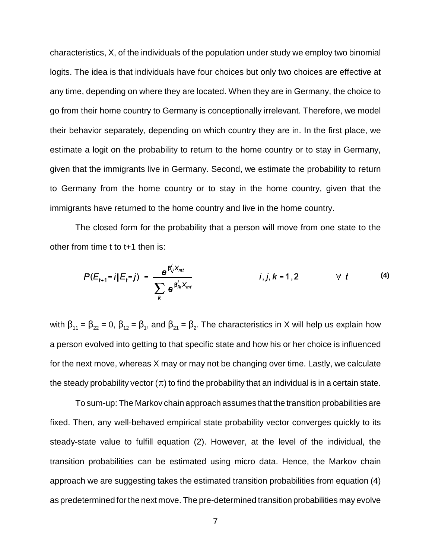characteristics, X, of the individuals of the population under study we employ two binomial logits. The idea is that individuals have four choices but only two choices are effective at any time, depending on where they are located. When they are in Germany, the choice to go from their home country to Germany is conceptionally irrelevant. Therefore, we model their behavior separately, depending on which country they are in. In the first place, we estimate a logit on the probability to return to the home country or to stay in Germany, given that the immigrants live in Germany. Second, we estimate the probability to return to Germany from the home country or to stay in the home country, given that the immigrants have returned to the home country and live in the home country.

The closed form for the probability that a person will move from one state to the other from time t to t+1 then is:

$$
P(E_{t+1}=i|E_t=j) = \frac{e^{\beta_{ij}'X_{mt}}}{\sum_k e^{\beta_{ik}'X_{mt}}} \qquad i,j,k=1,2 \qquad \forall t \qquad (4)
$$

with  $\beta_{11} = \beta_{22} = 0$ ,  $\beta_{12} = \beta_1$ , and  $\beta_{21} = \beta_2$ . The characteristics in X will help us explain how a person evolved into getting to that specific state and how his or her choice is influenced for the next move, whereas X may or may not be changing over time. Lastly, we calculate the steady probability vector  $(\pi)$  to find the probability that an individual is in a certain state.

To sum-up: The Markov chain approach assumes that the transition probabilities are fixed. Then, any well-behaved empirical state probability vector converges quickly to its steady-state value to fulfill equation (2). However, at the level of the individual, the transition probabilities can be estimated using micro data. Hence, the Markov chain approach we are suggesting takes the estimated transition probabilities from equation (4) as predetermined for the next move. The pre-determined transition probabilities may evolve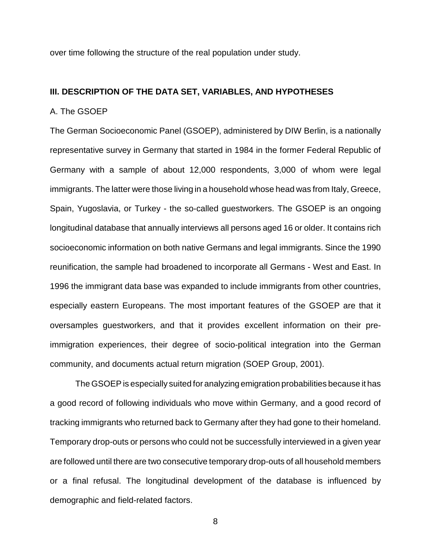over time following the structure of the real population under study.

#### **III. DESCRIPTION OF THE DATA SET, VARIABLES, AND HYPOTHESES**

#### A. The GSOEP

The German Socioeconomic Panel (GSOEP), administered by DIW Berlin, is a nationally representative survey in Germany that started in 1984 in the former Federal Republic of Germany with a sample of about 12,000 respondents, 3,000 of whom were legal immigrants. The latter were those living in a household whose head was from Italy, Greece, Spain, Yugoslavia, or Turkey - the so-called guestworkers. The GSOEP is an ongoing longitudinal database that annually interviews all persons aged 16 or older. It contains rich socioeconomic information on both native Germans and legal immigrants. Since the 1990 reunification, the sample had broadened to incorporate all Germans - West and East. In 1996 the immigrant data base was expanded to include immigrants from other countries, especially eastern Europeans. The most important features of the GSOEP are that it oversamples guestworkers, and that it provides excellent information on their preimmigration experiences, their degree of socio-political integration into the German community, and documents actual return migration (SOEP Group, 2001).

The GSOEP is especially suited for analyzing emigration probabilities because it has a good record of following individuals who move within Germany, and a good record of tracking immigrants who returned back to Germany after they had gone to their homeland. Temporary drop-outs or persons who could not be successfully interviewed in a given year are followed until there are two consecutive temporary drop-outs of all household members or a final refusal. The longitudinal development of the database is influenced by demographic and field-related factors.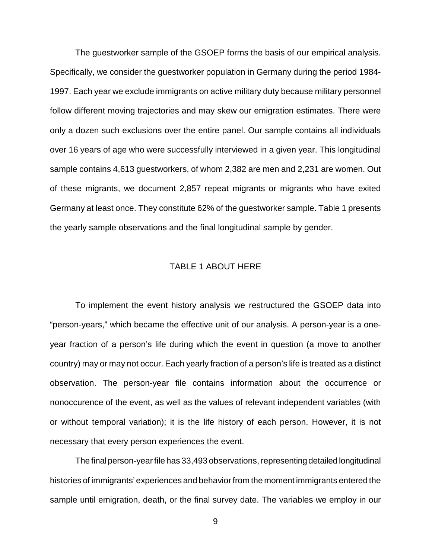The guestworker sample of the GSOEP forms the basis of our empirical analysis. Specifically, we consider the guestworker population in Germany during the period 1984- 1997. Each year we exclude immigrants on active military duty because military personnel follow different moving trajectories and may skew our emigration estimates. There were only a dozen such exclusions over the entire panel. Our sample contains all individuals over 16 years of age who were successfully interviewed in a given year. This longitudinal sample contains 4,613 guestworkers, of whom 2,382 are men and 2,231 are women. Out of these migrants, we document 2,857 repeat migrants or migrants who have exited Germany at least once. They constitute 62% of the guestworker sample. Table 1 presents the yearly sample observations and the final longitudinal sample by gender.

#### TABLE 1 ABOUT HERE

To implement the event history analysis we restructured the GSOEP data into "person-years," which became the effective unit of our analysis. A person-year is a oneyear fraction of a person's life during which the event in question (a move to another country) may or may not occur. Each yearly fraction of a person's life is treated as a distinct observation. The person-year file contains information about the occurrence or nonoccurence of the event, as well as the values of relevant independent variables (with or without temporal variation); it is the life history of each person. However, it is not necessary that every person experiences the event.

The final person-year file has 33,493 observations, representing detailed longitudinal histories of immigrants' experiences and behavior from the moment immigrants entered the sample until emigration, death, or the final survey date. The variables we employ in our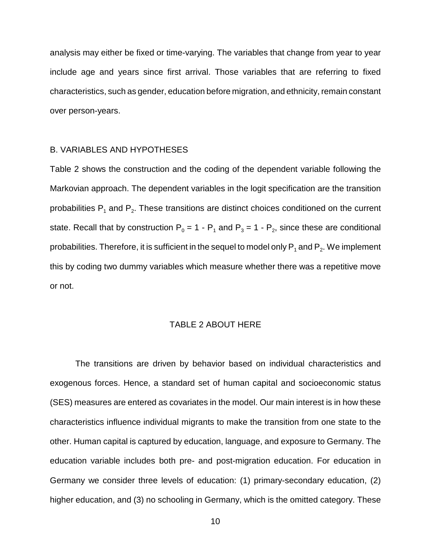analysis may either be fixed or time-varying. The variables that change from year to year include age and years since first arrival. Those variables that are referring to fixed characteristics, such as gender, education before migration, and ethnicity, remain constant over person-years.

#### B. VARIABLES AND HYPOTHESES

Table 2 shows the construction and the coding of the dependent variable following the Markovian approach. The dependent variables in the logit specification are the transition probabilities  $P_1$  and  $P_2$ . These transitions are distinct choices conditioned on the current state. Recall that by construction  $P_0 = 1 - P_1$  and  $P_3 = 1 - P_2$ , since these are conditional probabilities. Therefore, it is sufficient in the sequel to model only  $P_1$  and  $P_2$ . We implement this by coding two dummy variables which measure whether there was a repetitive move or not.

#### TABLE 2 ABOUT HERE

The transitions are driven by behavior based on individual characteristics and exogenous forces. Hence, a standard set of human capital and socioeconomic status (SES) measures are entered as covariates in the model. Our main interest is in how these characteristics influence individual migrants to make the transition from one state to the other. Human capital is captured by education, language, and exposure to Germany. The education variable includes both pre- and post-migration education. For education in Germany we consider three levels of education: (1) primary-secondary education, (2) higher education, and (3) no schooling in Germany, which is the omitted category. These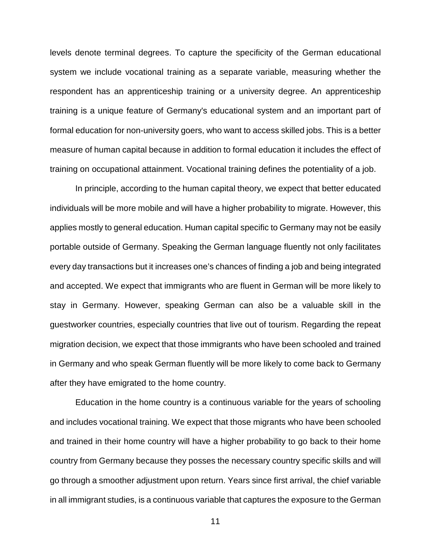levels denote terminal degrees. To capture the specificity of the German educational system we include vocational training as a separate variable, measuring whether the respondent has an apprenticeship training or a university degree. An apprenticeship training is a unique feature of Germany's educational system and an important part of formal education for non-university goers, who want to access skilled jobs. This is a better measure of human capital because in addition to formal education it includes the effect of training on occupational attainment. Vocational training defines the potentiality of a job.

In principle, according to the human capital theory, we expect that better educated individuals will be more mobile and will have a higher probability to migrate. However, this applies mostly to general education. Human capital specific to Germany may not be easily portable outside of Germany. Speaking the German language fluently not only facilitates every day transactions but it increases one's chances of finding a job and being integrated and accepted. We expect that immigrants who are fluent in German will be more likely to stay in Germany. However, speaking German can also be a valuable skill in the guestworker countries, especially countries that live out of tourism. Regarding the repeat migration decision, we expect that those immigrants who have been schooled and trained in Germany and who speak German fluently will be more likely to come back to Germany after they have emigrated to the home country.

Education in the home country is a continuous variable for the years of schooling and includes vocational training. We expect that those migrants who have been schooled and trained in their home country will have a higher probability to go back to their home country from Germany because they posses the necessary country specific skills and will go through a smoother adjustment upon return. Years since first arrival, the chief variable in all immigrant studies, is a continuous variable that captures the exposure to the German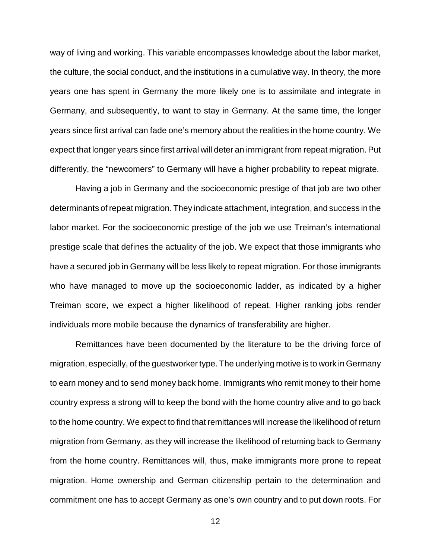way of living and working. This variable encompasses knowledge about the labor market, the culture, the social conduct, and the institutions in a cumulative way. In theory, the more years one has spent in Germany the more likely one is to assimilate and integrate in Germany, and subsequently, to want to stay in Germany. At the same time, the longer years since first arrival can fade one's memory about the realities in the home country. We expect that longer years since first arrival will deter an immigrant from repeat migration. Put differently, the "newcomers" to Germany will have a higher probability to repeat migrate.

Having a job in Germany and the socioeconomic prestige of that job are two other determinants of repeat migration. They indicate attachment, integration, and success in the labor market. For the socioeconomic prestige of the job we use Treiman's international prestige scale that defines the actuality of the job. We expect that those immigrants who have a secured job in Germany will be less likely to repeat migration. For those immigrants who have managed to move up the socioeconomic ladder, as indicated by a higher Treiman score, we expect a higher likelihood of repeat. Higher ranking jobs render individuals more mobile because the dynamics of transferability are higher.

Remittances have been documented by the literature to be the driving force of migration, especially, of the guestworker type. The underlying motive is to work in Germany to earn money and to send money back home. Immigrants who remit money to their home country express a strong will to keep the bond with the home country alive and to go back to the home country. We expect to find that remittances will increase the likelihood of return migration from Germany, as they will increase the likelihood of returning back to Germany from the home country. Remittances will, thus, make immigrants more prone to repeat migration. Home ownership and German citizenship pertain to the determination and commitment one has to accept Germany as one's own country and to put down roots. For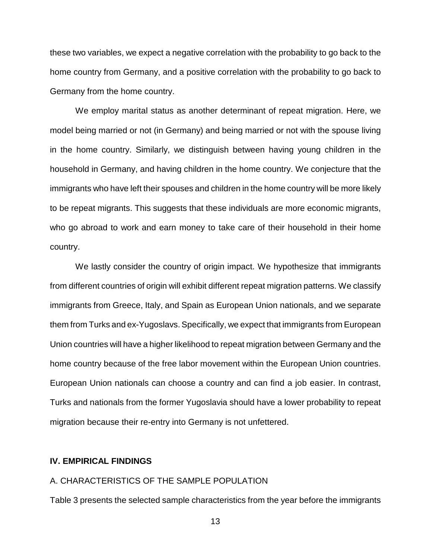these two variables, we expect a negative correlation with the probability to go back to the home country from Germany, and a positive correlation with the probability to go back to Germany from the home country.

We employ marital status as another determinant of repeat migration. Here, we model being married or not (in Germany) and being married or not with the spouse living in the home country. Similarly, we distinguish between having young children in the household in Germany, and having children in the home country. We conjecture that the immigrants who have left their spouses and children in the home country will be more likely to be repeat migrants. This suggests that these individuals are more economic migrants, who go abroad to work and earn money to take care of their household in their home country.

We lastly consider the country of origin impact. We hypothesize that immigrants from different countries of origin will exhibit different repeat migration patterns. We classify immigrants from Greece, Italy, and Spain as European Union nationals, and we separate them from Turks and ex-Yugoslavs. Specifically, we expect that immigrants from European Union countries will have a higher likelihood to repeat migration between Germany and the home country because of the free labor movement within the European Union countries. European Union nationals can choose a country and can find a job easier. In contrast, Turks and nationals from the former Yugoslavia should have a lower probability to repeat migration because their re-entry into Germany is not unfettered.

#### **IV. EMPIRICAL FINDINGS**

#### A. CHARACTERISTICS OF THE SAMPLE POPULATION

Table 3 presents the selected sample characteristics from the year before the immigrants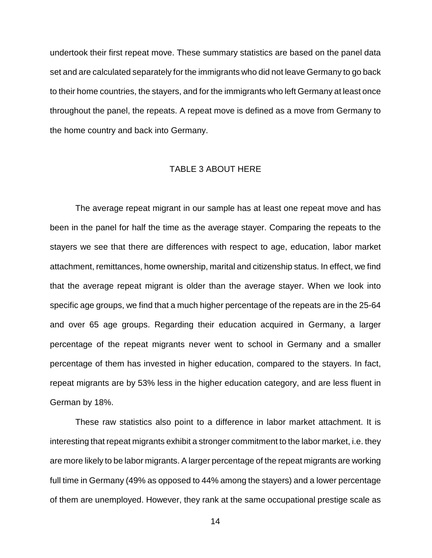undertook their first repeat move. These summary statistics are based on the panel data set and are calculated separately for the immigrants who did not leave Germany to go back to their home countries, the stayers, and for the immigrants who left Germany at least once throughout the panel, the repeats. A repeat move is defined as a move from Germany to the home country and back into Germany.

#### TABLE 3 ABOUT HERE

The average repeat migrant in our sample has at least one repeat move and has been in the panel for half the time as the average stayer. Comparing the repeats to the stayers we see that there are differences with respect to age, education, labor market attachment, remittances, home ownership, marital and citizenship status. In effect, we find that the average repeat migrant is older than the average stayer. When we look into specific age groups, we find that a much higher percentage of the repeats are in the 25-64 and over 65 age groups. Regarding their education acquired in Germany, a larger percentage of the repeat migrants never went to school in Germany and a smaller percentage of them has invested in higher education, compared to the stayers. In fact, repeat migrants are by 53% less in the higher education category, and are less fluent in German by 18%.

These raw statistics also point to a difference in labor market attachment. It is interesting that repeat migrants exhibit a stronger commitment to the labor market, i.e. they are more likely to be labor migrants. A larger percentage of the repeat migrants are working full time in Germany (49% as opposed to 44% among the stayers) and a lower percentage of them are unemployed. However, they rank at the same occupational prestige scale as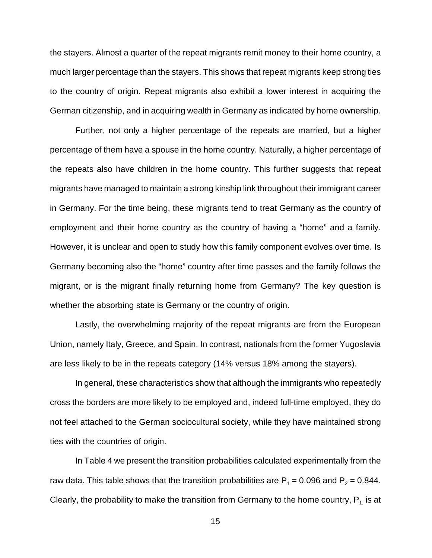the stayers. Almost a quarter of the repeat migrants remit money to their home country, a much larger percentage than the stayers. This shows that repeat migrants keep strong ties to the country of origin. Repeat migrants also exhibit a lower interest in acquiring the German citizenship, and in acquiring wealth in Germany as indicated by home ownership.

Further, not only a higher percentage of the repeats are married, but a higher percentage of them have a spouse in the home country. Naturally, a higher percentage of the repeats also have children in the home country. This further suggests that repeat migrants have managed to maintain a strong kinship link throughout their immigrant career in Germany. For the time being, these migrants tend to treat Germany as the country of employment and their home country as the country of having a "home" and a family. However, it is unclear and open to study how this family component evolves over time. Is Germany becoming also the "home" country after time passes and the family follows the migrant, or is the migrant finally returning home from Germany? The key question is whether the absorbing state is Germany or the country of origin.

Lastly, the overwhelming majority of the repeat migrants are from the European Union, namely Italy, Greece, and Spain. In contrast, nationals from the former Yugoslavia are less likely to be in the repeats category (14% versus 18% among the stayers).

In general, these characteristics show that although the immigrants who repeatedly cross the borders are more likely to be employed and, indeed full-time employed, they do not feel attached to the German sociocultural society, while they have maintained strong ties with the countries of origin.

In Table 4 we present the transition probabilities calculated experimentally from the raw data. This table shows that the transition probabilities are  $P_1 = 0.096$  and  $P_2 = 0.844$ . Clearly, the probability to make the transition from Germany to the home country,  $P_1$  is at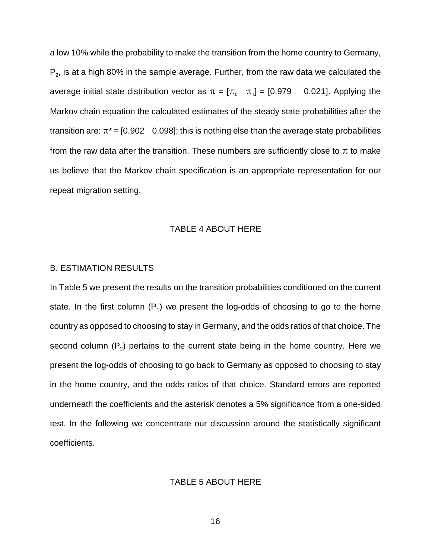a low 10% while the probability to make the transition from the home country to Germany,  $P_2$ , is at a high 80% in the sample average. Further, from the raw data we calculated the average initial state distribution vector as  $\pi = [\pi_0 \quad \pi_1] = [0.979 \quad 0.021]$ . Applying the Markov chain equation the calculated estimates of the steady state probabilities after the transition are:  $\pi^*$  = [0.902 0.098]; this is nothing else than the average state probabilities from the raw data after the transition. These numbers are sufficiently close to  $\pi$  to make us believe that the Markov chain specification is an appropriate representation for our repeat migration setting.

#### TABLE 4 ABOUT HERE

#### B. ESTIMATION RESULTS

In Table 5 we present the results on the transition probabilities conditioned on the current state. In the first column  $(P_1)$  we present the log-odds of choosing to go to the home country as opposed to choosing to stay in Germany, and the odds ratios of that choice. The second column  $(P_2)$  pertains to the current state being in the home country. Here we present the log-odds of choosing to go back to Germany as opposed to choosing to stay in the home country, and the odds ratios of that choice. Standard errors are reported underneath the coefficients and the asterisk denotes a 5% significance from a one-sided test. In the following we concentrate our discussion around the statistically significant coefficients.

#### TABLE 5 ABOUT HERE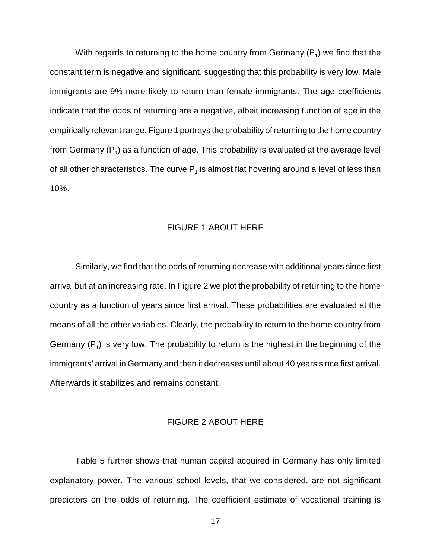With regards to returning to the home country from Germany  $(P_1)$  we find that the constant term is negative and significant, suggesting that this probability is very low. Male immigrants are 9% more likely to return than female immigrants. The age coefficients indicate that the odds of returning are a negative, albeit increasing function of age in the empirically relevant range. Figure 1 portrays the probability of returning to the home country from Germany  $(P_1)$  as a function of age. This probability is evaluated at the average level of all other characteristics. The curve  $P_1$  is almost flat hovering around a level of less than 10%.

#### FIGURE 1 ABOUT HERE

Similarly, we find that the odds of returning decrease with additional years since first arrival but at an increasing rate. In Figure 2 we plot the probability of returning to the home country as a function of years since first arrival. These probabilities are evaluated at the means of all the other variables. Clearly, the probability to return to the home country from Germany  $(P_1)$  is very low. The probability to return is the highest in the beginning of the immigrants' arrival in Germany and then it decreases until about 40 years since first arrival. Afterwards it stabilizes and remains constant.

#### FIGURE 2 ABOUT HERE

Table 5 further shows that human capital acquired in Germany has only limited explanatory power. The various school levels, that we considered, are not significant predictors on the odds of returning. The coefficient estimate of vocational training is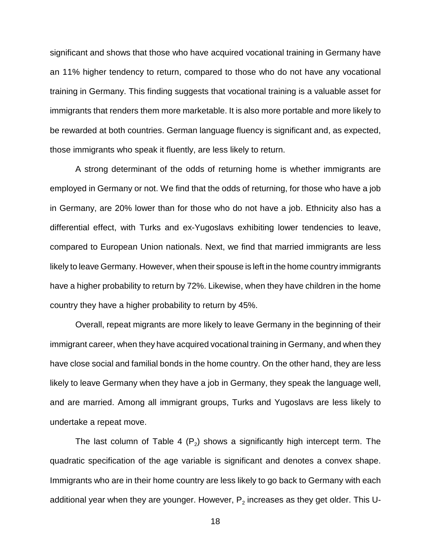significant and shows that those who have acquired vocational training in Germany have an 11% higher tendency to return, compared to those who do not have any vocational training in Germany. This finding suggests that vocational training is a valuable asset for immigrants that renders them more marketable. It is also more portable and more likely to be rewarded at both countries. German language fluency is significant and, as expected, those immigrants who speak it fluently, are less likely to return.

A strong determinant of the odds of returning home is whether immigrants are employed in Germany or not. We find that the odds of returning, for those who have a job in Germany, are 20% lower than for those who do not have a job. Ethnicity also has a differential effect, with Turks and ex-Yugoslavs exhibiting lower tendencies to leave, compared to European Union nationals. Next, we find that married immigrants are less likely to leave Germany. However, when their spouse is left in the home country immigrants have a higher probability to return by 72%. Likewise, when they have children in the home country they have a higher probability to return by 45%.

Overall, repeat migrants are more likely to leave Germany in the beginning of their immigrant career, when they have acquired vocational training in Germany, and when they have close social and familial bonds in the home country. On the other hand, they are less likely to leave Germany when they have a job in Germany, they speak the language well, and are married. Among all immigrant groups, Turks and Yugoslavs are less likely to undertake a repeat move.

The last column of Table 4 ( $P_2$ ) shows a significantly high intercept term. The quadratic specification of the age variable is significant and denotes a convex shape. Immigrants who are in their home country are less likely to go back to Germany with each additional year when they are younger. However,  $P<sub>2</sub>$  increases as they get older. This U-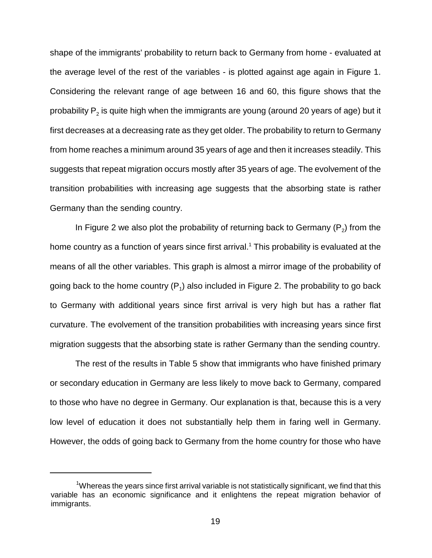shape of the immigrants' probability to return back to Germany from home - evaluated at the average level of the rest of the variables - is plotted against age again in Figure 1. Considering the relevant range of age between 16 and 60, this figure shows that the probability  $P<sub>2</sub>$  is quite high when the immigrants are young (around 20 years of age) but it first decreases at a decreasing rate as they get older. The probability to return to Germany from home reaches a minimum around 35 years of age and then it increases steadily. This suggests that repeat migration occurs mostly after 35 years of age. The evolvement of the transition probabilities with increasing age suggests that the absorbing state is rather Germany than the sending country.

In Figure 2 we also plot the probability of returning back to Germany  $(P_2)$  from the home country as a function of years since first arrival.<sup>1</sup> This probability is evaluated at the means of all the other variables. This graph is almost a mirror image of the probability of going back to the home country  $(P_1)$  also included in Figure 2. The probability to go back to Germany with additional years since first arrival is very high but has a rather flat curvature. The evolvement of the transition probabilities with increasing years since first migration suggests that the absorbing state is rather Germany than the sending country.

The rest of the results in Table 5 show that immigrants who have finished primary or secondary education in Germany are less likely to move back to Germany, compared to those who have no degree in Germany. Our explanation is that, because this is a very low level of education it does not substantially help them in faring well in Germany. However, the odds of going back to Germany from the home country for those who have

<sup>&</sup>lt;sup>1</sup>Whereas the years since first arrival variable is not statistically significant, we find that this variable has an economic significance and it enlightens the repeat migration behavior of immigrants.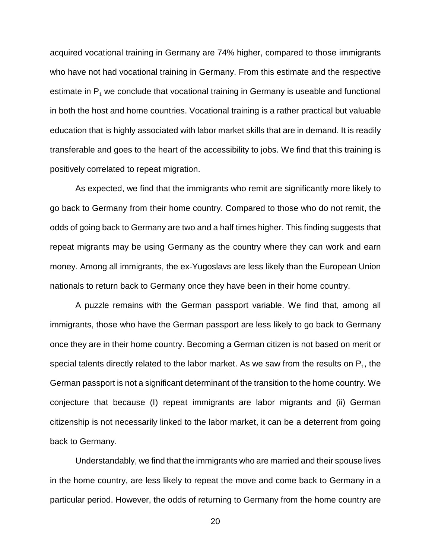acquired vocational training in Germany are 74% higher, compared to those immigrants who have not had vocational training in Germany. From this estimate and the respective estimate in  $P_1$  we conclude that vocational training in Germany is useable and functional in both the host and home countries. Vocational training is a rather practical but valuable education that is highly associated with labor market skills that are in demand. It is readily transferable and goes to the heart of the accessibility to jobs. We find that this training is positively correlated to repeat migration.

As expected, we find that the immigrants who remit are significantly more likely to go back to Germany from their home country. Compared to those who do not remit, the odds of going back to Germany are two and a half times higher. This finding suggests that repeat migrants may be using Germany as the country where they can work and earn money. Among all immigrants, the ex-Yugoslavs are less likely than the European Union nationals to return back to Germany once they have been in their home country.

A puzzle remains with the German passport variable. We find that, among all immigrants, those who have the German passport are less likely to go back to Germany once they are in their home country. Becoming a German citizen is not based on merit or special talents directly related to the labor market. As we saw from the results on  $P_1$ , the German passport is not a significant determinant of the transition to the home country. We conjecture that because (I) repeat immigrants are labor migrants and (ii) German citizenship is not necessarily linked to the labor market, it can be a deterrent from going back to Germany.

Understandably, we find that the immigrants who are married and their spouse lives in the home country, are less likely to repeat the move and come back to Germany in a particular period. However, the odds of returning to Germany from the home country are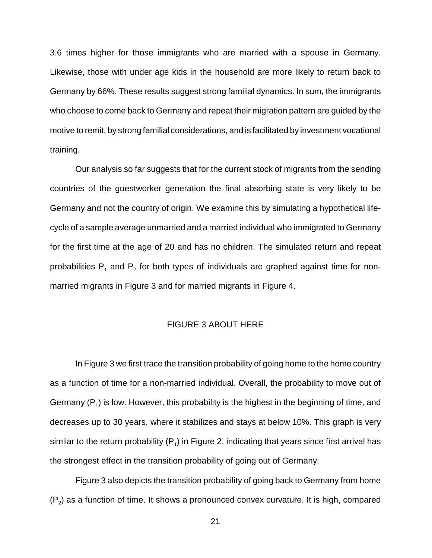3.6 times higher for those immigrants who are married with a spouse in Germany. Likewise, those with under age kids in the household are more likely to return back to Germany by 66%. These results suggest strong familial dynamics. In sum, the immigrants who choose to come back to Germany and repeat their migration pattern are guided by the motive to remit, by strong familial considerations, and is facilitated by investment vocational training.

Our analysis so far suggests that for the current stock of migrants from the sending countries of the guestworker generation the final absorbing state is very likely to be Germany and not the country of origin. We examine this by simulating a hypothetical lifecycle of a sample average unmarried and a married individual who immigrated to Germany for the first time at the age of 20 and has no children. The simulated return and repeat probabilities  $P_1$  and  $P_2$  for both types of individuals are graphed against time for nonmarried migrants in Figure 3 and for married migrants in Figure 4.

#### FIGURE 3 ABOUT HERE

In Figure 3 we first trace the transition probability of going home to the home country as a function of time for a non-married individual. Overall, the probability to move out of Germany  $(P_1)$  is low. However, this probability is the highest in the beginning of time, and decreases up to 30 years, where it stabilizes and stays at below 10%. This graph is very similar to the return probability  $(P_1)$  in Figure 2, indicating that years since first arrival has the strongest effect in the transition probability of going out of Germany.

Figure 3 also depicts the transition probability of going back to Germany from home  $(P_2)$  as a function of time. It shows a pronounced convex curvature. It is high, compared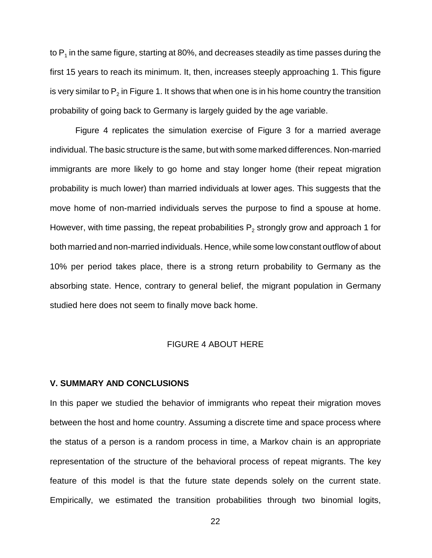to  $P_1$  in the same figure, starting at 80%, and decreases steadily as time passes during the first 15 years to reach its minimum. It, then, increases steeply approaching 1. This figure is very similar to  $P_2$  in Figure 1. It shows that when one is in his home country the transition probability of going back to Germany is largely guided by the age variable.

Figure 4 replicates the simulation exercise of Figure 3 for a married average individual. The basic structure is the same, but with some marked differences. Non-married immigrants are more likely to go home and stay longer home (their repeat migration probability is much lower) than married individuals at lower ages. This suggests that the move home of non-married individuals serves the purpose to find a spouse at home. However, with time passing, the repeat probabilities  $P_2$  strongly grow and approach 1 for both married and non-married individuals. Hence, while some low constant outflow of about 10% per period takes place, there is a strong return probability to Germany as the absorbing state. Hence, contrary to general belief, the migrant population in Germany studied here does not seem to finally move back home.

#### FIGURE 4 ABOUT HERE

#### **V. SUMMARY AND CONCLUSIONS**

In this paper we studied the behavior of immigrants who repeat their migration moves between the host and home country. Assuming a discrete time and space process where the status of a person is a random process in time, a Markov chain is an appropriate representation of the structure of the behavioral process of repeat migrants. The key feature of this model is that the future state depends solely on the current state. Empirically, we estimated the transition probabilities through two binomial logits,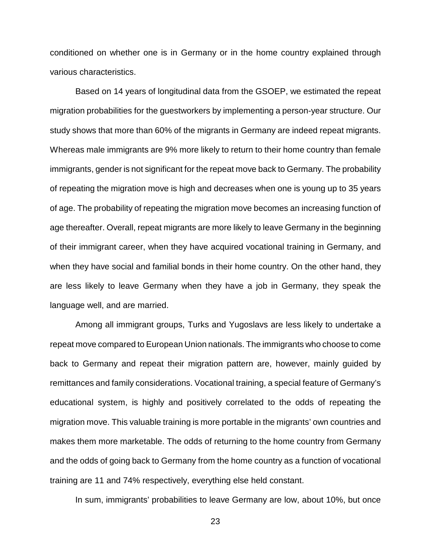conditioned on whether one is in Germany or in the home country explained through various characteristics.

Based on 14 years of longitudinal data from the GSOEP, we estimated the repeat migration probabilities for the guestworkers by implementing a person-year structure. Our study shows that more than 60% of the migrants in Germany are indeed repeat migrants. Whereas male immigrants are 9% more likely to return to their home country than female immigrants, gender is not significant for the repeat move back to Germany. The probability of repeating the migration move is high and decreases when one is young up to 35 years of age. The probability of repeating the migration move becomes an increasing function of age thereafter. Overall, repeat migrants are more likely to leave Germany in the beginning of their immigrant career, when they have acquired vocational training in Germany, and when they have social and familial bonds in their home country. On the other hand, they are less likely to leave Germany when they have a job in Germany, they speak the language well, and are married.

Among all immigrant groups, Turks and Yugoslavs are less likely to undertake a repeat move compared to European Union nationals. The immigrants who choose to come back to Germany and repeat their migration pattern are, however, mainly guided by remittances and family considerations. Vocational training, a special feature of Germany's educational system, is highly and positively correlated to the odds of repeating the migration move. This valuable training is more portable in the migrants' own countries and makes them more marketable. The odds of returning to the home country from Germany and the odds of going back to Germany from the home country as a function of vocational training are 11 and 74% respectively, everything else held constant.

In sum, immigrants' probabilities to leave Germany are low, about 10%, but once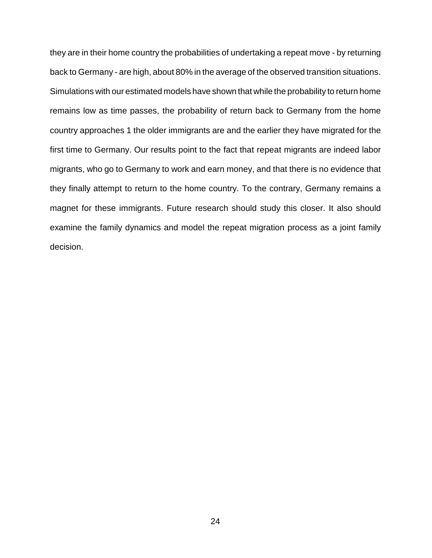they are in their home country the probabilities of undertaking a repeat move - by returning back to Germany - are high, about 80% in the average of the observed transition situations. Simulations with our estimated models have shown that while the probability to return home remains low as time passes, the probability of return back to Germany from the home country approaches 1 the older immigrants are and the earlier they have migrated for the first time to Germany. Our results point to the fact that repeat migrants are indeed labor migrants, who go to Germany to work and earn money, and that there is no evidence that they finally attempt to return to the home country. To the contrary, Germany remains a magnet for these immigrants. Future research should study this closer. It also should examine the family dynamics and model the repeat migration process as a joint family decision.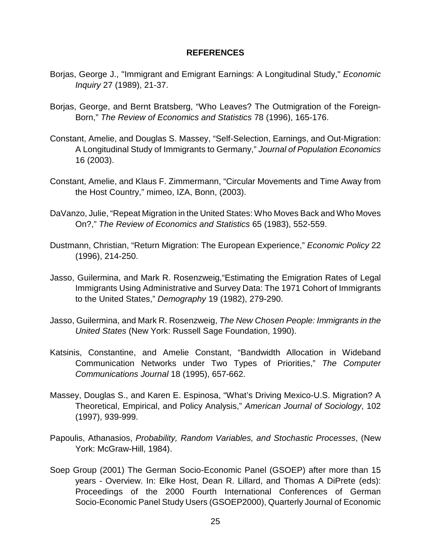#### **REFERENCES**

- Borjas, George J., "Immigrant and Emigrant Earnings: A Longitudinal Study," Economic Inquiry 27 (1989), 21-37.
- Borjas, George, and Bernt Bratsberg, "Who Leaves? The Outmigration of the Foreign-Born," The Review of Economics and Statistics 78 (1996), 165-176.
- Constant, Amelie, and Douglas S. Massey, "Self-Selection, Earnings, and Out-Migration: A Longitudinal Study of Immigrants to Germany," Journal of Population Economics 16 (2003).
- Constant, Amelie, and Klaus F. Zimmermann, "Circular Movements and Time Away from the Host Country," mimeo, IZA, Bonn, (2003).
- DaVanzo, Julie, "Repeat Migration in the United States: Who Moves Back and Who Moves On?," The Review of Economics and Statistics 65 (1983), 552-559.
- Dustmann, Christian, "Return Migration: The European Experience," Economic Policy 22 (1996), 214-250.
- Jasso, Guilermina, and Mark R. Rosenzweig,"Estimating the Emigration Rates of Legal Immigrants Using Administrative and Survey Data: The 1971 Cohort of Immigrants to the United States," Demography 19 (1982), 279-290.
- Jasso, Guilermina, and Mark R. Rosenzweig, The New Chosen People: Immigrants in the United States (New York: Russell Sage Foundation, 1990).
- Katsinis, Constantine, and Amelie Constant, "Bandwidth Allocation in Wideband Communication Networks under Two Types of Priorities," The Computer Communications Journal 18 (1995), 657-662.
- Massey, Douglas S., and Karen E. Espinosa, "What's Driving Mexico-U.S. Migration? A Theoretical, Empirical, and Policy Analysis," American Journal of Sociology, 102 (1997), 939-999.
- Papoulis, Athanasios, Probability, Random Variables, and Stochastic Processes, (New York: McGraw-Hill, 1984).
- Soep Group (2001) The German Socio-Economic Panel (GSOEP) after more than 15 years - Overview. In: Elke Host, Dean R. Lillard, and Thomas A DiPrete (eds): Proceedings of the 2000 Fourth International Conferences of German Socio-Economic Panel Study Users (GSOEP2000), Quarterly Journal of Economic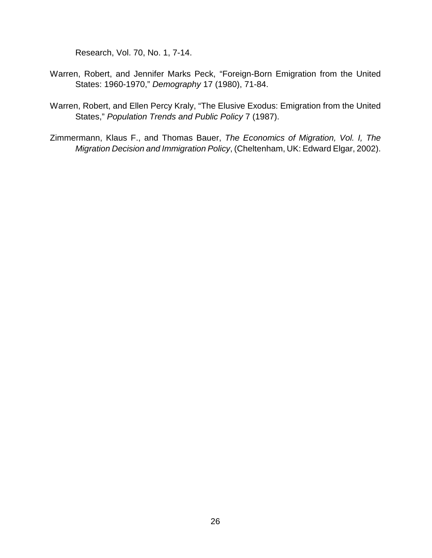Research, Vol. 70, No. 1, 7-14.

- Warren, Robert, and Jennifer Marks Peck, "Foreign-Born Emigration from the United States: 1960-1970," Demography 17 (1980), 71-84.
- Warren, Robert, and Ellen Percy Kraly, "The Elusive Exodus: Emigration from the United States," Population Trends and Public Policy 7 (1987).
- Zimmermann, Klaus F., and Thomas Bauer, The Economics of Migration, Vol. I, The Migration Decision and Immigration Policy, (Cheltenham, UK: Edward Elgar, 2002).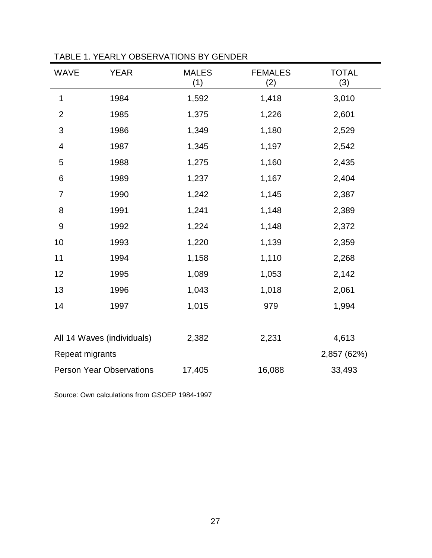| <b>WAVE</b>                | <b>YEAR</b>                     | <b>MALES</b><br>(1) | <b>FEMALES</b><br>(2) | <b>TOTAL</b><br>(3) |
|----------------------------|---------------------------------|---------------------|-----------------------|---------------------|
| 1                          | 1984                            | 1,592               | 1,418                 | 3,010               |
| $\overline{2}$             | 1985                            | 1,375               | 1,226                 | 2,601               |
| 3                          | 1986                            | 1,349               | 1,180                 | 2,529               |
| $\overline{\mathcal{A}}$   | 1987                            | 1,345               | 1,197                 | 2,542               |
| 5                          | 1988                            | 1,275               | 1,160                 | 2,435               |
| 6                          | 1989                            | 1,237               | 1,167                 | 2,404               |
| $\overline{7}$             | 1990                            | 1,242               | 1,145                 | 2,387               |
| 8                          | 1991                            | 1,241               | 1,148                 | 2,389               |
| $\mathsf 9$                | 1992                            | 1,224               | 1,148                 | 2,372               |
| 10                         | 1993                            | 1,220               | 1,139                 | 2,359               |
| 11                         | 1994                            | 1,158               | 1,110                 | 2,268               |
| 12                         | 1995                            | 1,089               | 1,053                 | 2,142               |
| 13                         | 1996                            | 1,043               | 1,018                 | 2,061               |
| 14                         | 1997                            | 1,015               | 979                   | 1,994               |
|                            |                                 |                     |                       |                     |
| All 14 Waves (individuals) |                                 | 2,382               | 2,231                 | 4,613               |
| Repeat migrants            |                                 |                     |                       | 2,857 (62%)         |
|                            | <b>Person Year Observations</b> | 17,405              | 16,088                | 33,493              |

TABLE 1. YEARLY OBSERVATIONS BY GENDER

Source: Own calculations from GSOEP 1984-1997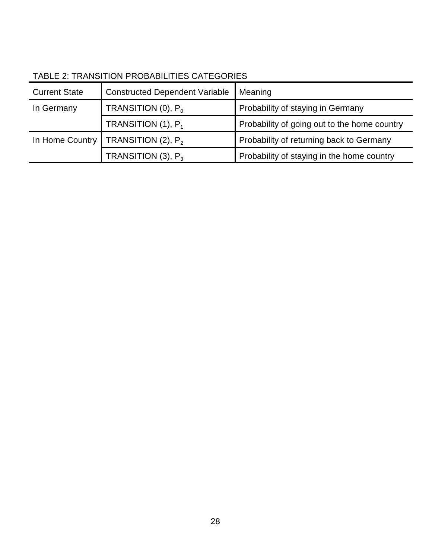| <b>Current State</b> | <b>Constructed Dependent Variable</b> | Meaning                                      |
|----------------------|---------------------------------------|----------------------------------------------|
| In Germany           | TRANSITION (0), $P_0$                 | Probability of staying in Germany            |
|                      | TRANSITION $(1)$ , $P_1$              | Probability of going out to the home country |
| In Home Country      | TRANSITION $(2)$ , $P_2$              | Probability of returning back to Germany     |
|                      | TRANSITION (3), $P_3$                 | Probability of staying in the home country   |

## TABLE 2: TRANSITION PROBABILITIES CATEGORIES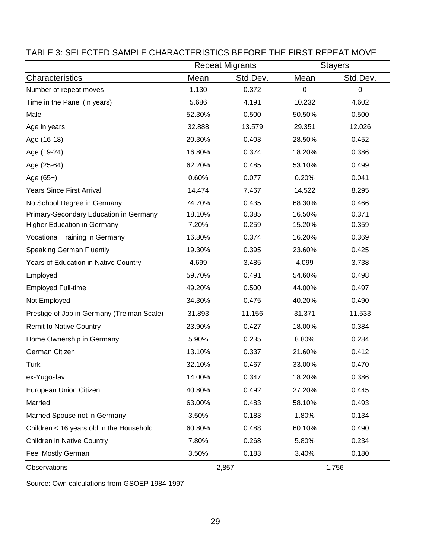|                                            |        | <b>Repeat Migrants</b> |          | <b>Stayers</b> |
|--------------------------------------------|--------|------------------------|----------|----------------|
| Characteristics                            | Mean   | Std.Dev.               | Mean     | Std.Dev.       |
| Number of repeat moves                     | 1.130  | 0.372                  | $\Omega$ | 0              |
| Time in the Panel (in years)               | 5.686  | 4.191                  | 10.232   | 4.602          |
| Male                                       | 52.30% | 0.500                  | 50.50%   | 0.500          |
| Age in years                               | 32.888 | 13.579                 | 29.351   | 12.026         |
| Age (16-18)                                | 20.30% | 0.403                  | 28.50%   | 0.452          |
| Age (19-24)                                | 16.80% | 0.374                  | 18.20%   | 0.386          |
| Age (25-64)                                | 62.20% | 0.485                  | 53.10%   | 0.499          |
| Age (65+)                                  | 0.60%  | 0.077                  | 0.20%    | 0.041          |
| <b>Years Since First Arrival</b>           | 14.474 | 7.467                  | 14.522   | 8.295          |
| No School Degree in Germany                | 74.70% | 0.435                  | 68.30%   | 0.466          |
| Primary-Secondary Education in Germany     | 18.10% | 0.385                  | 16.50%   | 0.371          |
| <b>Higher Education in Germany</b>         | 7.20%  | 0.259                  | 15.20%   | 0.359          |
| <b>Vocational Training in Germany</b>      | 16.80% | 0.374                  | 16.20%   | 0.369          |
| <b>Speaking German Fluently</b>            | 19.30% | 0.395                  | 23.60%   | 0.425          |
| Years of Education in Native Country       | 4.699  | 3.485                  | 4.099    | 3.738          |
| Employed                                   | 59.70% | 0.491                  | 54.60%   | 0.498          |
| <b>Employed Full-time</b>                  | 49.20% | 0.500                  | 44.00%   | 0.497          |
| Not Employed                               | 34.30% | 0.475                  | 40.20%   | 0.490          |
| Prestige of Job in Germany (Treiman Scale) | 31.893 | 11.156                 | 31.371   | 11.533         |
| <b>Remit to Native Country</b>             | 23.90% | 0.427                  | 18.00%   | 0.384          |
| Home Ownership in Germany                  | 5.90%  | 0.235                  | 8.80%    | 0.284          |
| German Citizen                             | 13.10% | 0.337                  | 21.60%   | 0.412          |
| <b>Turk</b>                                | 32.10% | 0.467                  | 33.00%   | 0.470          |
| ex-Yugoslav                                | 14.00% | 0.347                  | 18.20%   | 0.386          |
| European Union Citizen                     | 40.80% | 0.492                  | 27.20%   | 0.445          |
| Married                                    | 63.00% | 0.483                  | 58.10%   | 0.493          |
| Married Spouse not in Germany              | 3.50%  | 0.183                  | 1.80%    | 0.134          |
| Children < 16 years old in the Household   | 60.80% | 0.488                  | 60.10%   | 0.490          |
| Children in Native Country                 | 7.80%  | 0.268                  | 5.80%    | 0.234          |
| Feel Mostly German                         | 3.50%  | 0.183                  | 3.40%    | 0.180          |
| Observations                               |        | 2,857                  |          | 1,756          |

## TABLE 3: SELECTED SAMPLE CHARACTERISTICS BEFORE THE FIRST REPEAT MOVE

Source: Own calculations from GSOEP 1984-1997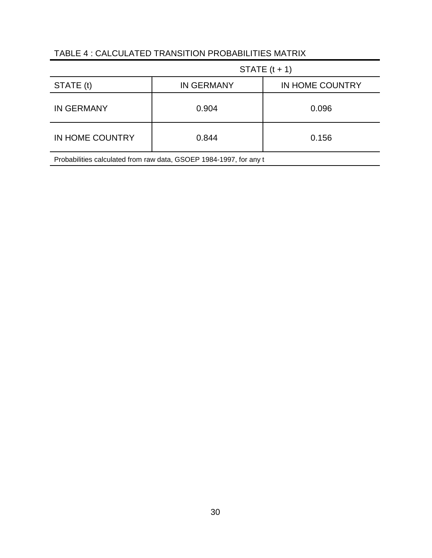### TABLE 4 : CALCULATED TRANSITION PROBABILITIES MATRIX

|                                                                    | STATE $(t + 1)$   |                 |  |  |
|--------------------------------------------------------------------|-------------------|-----------------|--|--|
| STATE (t)                                                          | <b>IN GERMANY</b> | IN HOME COUNTRY |  |  |
| <b>IN GERMANY</b>                                                  | 0.904             | 0.096           |  |  |
| IN HOME COUNTRY                                                    | 0.844             | 0.156           |  |  |
| Probabilities calculated from raw data, GSOEP 1984-1997, for any t |                   |                 |  |  |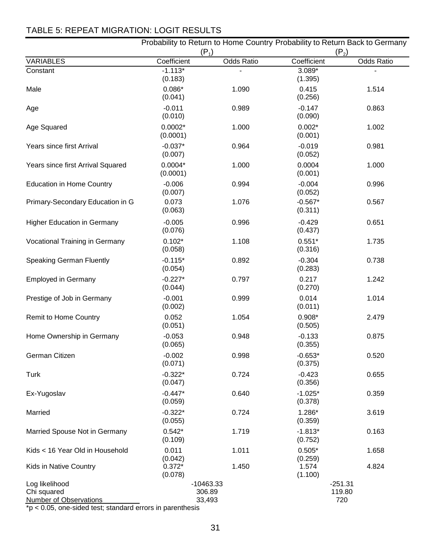## TABLE 5: REPEAT MIGRATION: LOGIT RESULTS

|                                                                |                       | $(P_1)$                         | Probability to Return to Home Country Probability to Return Back to Germany<br>$(P_2)$ |                            |  |  |
|----------------------------------------------------------------|-----------------------|---------------------------------|----------------------------------------------------------------------------------------|----------------------------|--|--|
| <b>VARIABLES</b>                                               | Coefficient           | <b>Odds Ratio</b>               | Coefficient                                                                            | <b>Odds Ratio</b>          |  |  |
| Constant                                                       | $-1.113*$<br>(0.183)  |                                 | 3.089*<br>(1.395)                                                                      |                            |  |  |
| Male                                                           | $0.086*$<br>(0.041)   | 1.090                           | 0.415<br>(0.256)                                                                       | 1.514                      |  |  |
| Age                                                            | $-0.011$<br>(0.010)   | 0.989                           | $-0.147$<br>(0.090)                                                                    | 0.863                      |  |  |
| Age Squared                                                    | $0.0002*$<br>(0.0001) | 1.000                           | $0.002*$<br>(0.001)                                                                    | 1.002                      |  |  |
| Years since first Arrival                                      | $-0.037*$<br>(0.007)  | 0.964                           | $-0.019$<br>(0.052)                                                                    | 0.981                      |  |  |
| Years since first Arrival Squared                              | $0.0004*$<br>(0.0001) | 1.000                           | 0.0004<br>(0.001)                                                                      | 1.000                      |  |  |
| <b>Education in Home Country</b>                               | $-0.006$<br>(0.007)   | 0.994                           | $-0.004$<br>(0.052)                                                                    | 0.996                      |  |  |
| Primary-Secondary Education in G                               | 0.073<br>(0.063)      | 1.076                           | $-0.567*$<br>(0.311)                                                                   | 0.567                      |  |  |
| <b>Higher Education in Germany</b>                             | $-0.005$<br>(0.076)   | 0.996                           | $-0.429$<br>(0.437)                                                                    | 0.651                      |  |  |
| <b>Vocational Training in Germany</b>                          | $0.102*$<br>(0.058)   | 1.108                           | $0.551*$<br>(0.316)                                                                    | 1.735                      |  |  |
| <b>Speaking German Fluently</b>                                | $-0.115*$<br>(0.054)  | 0.892                           | $-0.304$<br>(0.283)                                                                    | 0.738                      |  |  |
| <b>Employed in Germany</b>                                     | $-0.227*$<br>(0.044)  | 0.797                           | 0.217<br>(0.270)                                                                       | 1.242                      |  |  |
| Prestige of Job in Germany                                     | $-0.001$<br>(0.002)   | 0.999                           | 0.014<br>(0.011)                                                                       | 1.014                      |  |  |
| Remit to Home Country                                          | 0.052<br>(0.051)      | 1.054                           | $0.908*$<br>(0.505)                                                                    | 2.479                      |  |  |
| Home Ownership in Germany                                      | $-0.053$<br>(0.065)   | 0.948                           | $-0.133$<br>(0.355)                                                                    | 0.875                      |  |  |
| German Citizen                                                 | $-0.002$<br>(0.071)   | 0.998                           | $-0.653*$<br>(0.375)                                                                   | 0.520                      |  |  |
| <b>Turk</b>                                                    | $-0.322*$<br>(0.047)  | 0.724                           | $-0.423$<br>(0.356)                                                                    | 0.655                      |  |  |
| Ex-Yugoslav                                                    | $-0.447*$<br>(0.059)  | 0.640                           | $-1.025*$<br>(0.378)                                                                   | 0.359                      |  |  |
| Married                                                        | $-0.322*$<br>(0.055)  | 0.724                           | 1.286*<br>(0.359)                                                                      | 3.619                      |  |  |
| Married Spouse Not in Germany                                  | $0.542*$<br>(0.109)   | 1.719                           | $-1.813*$<br>(0.752)                                                                   | 0.163                      |  |  |
| Kids < 16 Year Old in Household                                | 0.011<br>(0.042)      | 1.011                           | $0.505*$<br>(0.259)                                                                    | 1.658                      |  |  |
| Kids in Native Country                                         | $0.372*$<br>(0.078)   | 1.450                           | 1.574<br>(1.100)                                                                       | 4.824                      |  |  |
| Log likelihood<br>Chi squared<br><b>Number of Observations</b> |                       | $-10463.33$<br>306.89<br>33,493 |                                                                                        | $-251.31$<br>119.80<br>720 |  |  |

 $p < 0.05$ , one-sided test; standard errors in parenthesis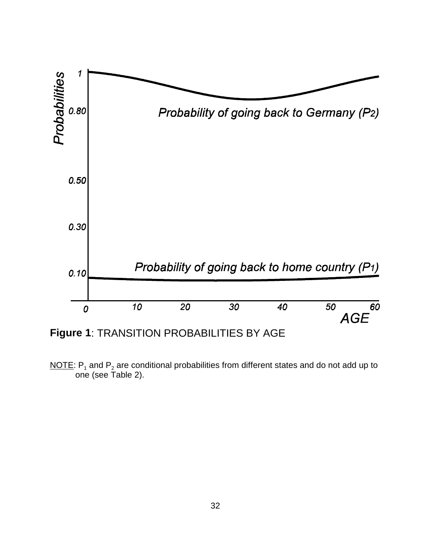

NOTE:  $P_1$  and  $P_2$  are conditional probabilities from different states and do not add up to one (see Table 2).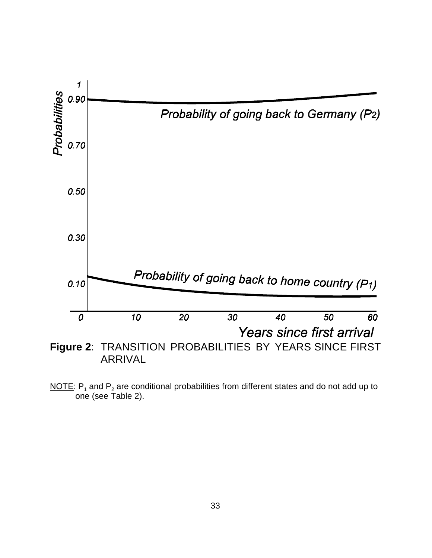

NOTE:  $P_1$  and  $P_2$  are conditional probabilities from different states and do not add up to one (see Table 2).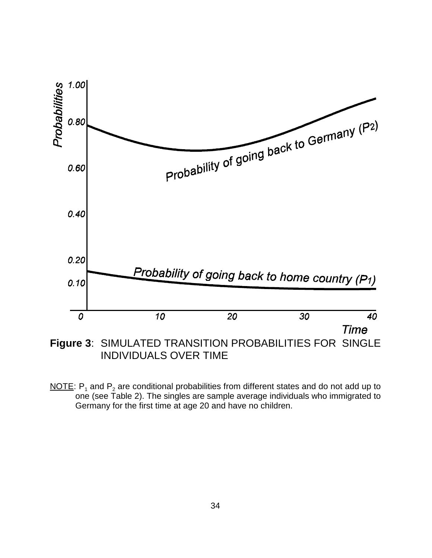

INDIVIDUALS OVER TIME

NOTE:  $P_1$  and  $P_2$  are conditional probabilities from different states and do not add up to one (see Table 2). The singles are sample average individuals who immigrated to Germany for the first time at age 20 and have no children.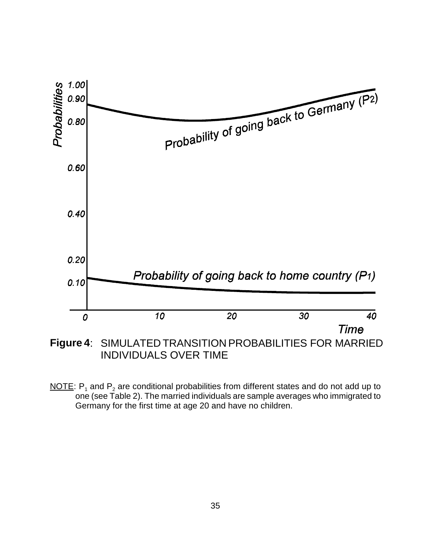

INDIVIDUALS OVER TIME

NOTE:  $P_1$  and  $P_2$  are conditional probabilities from different states and do not add up to one (see Table 2). The married individuals are sample averages who immigrated to Germany for the first time at age 20 and have no children.